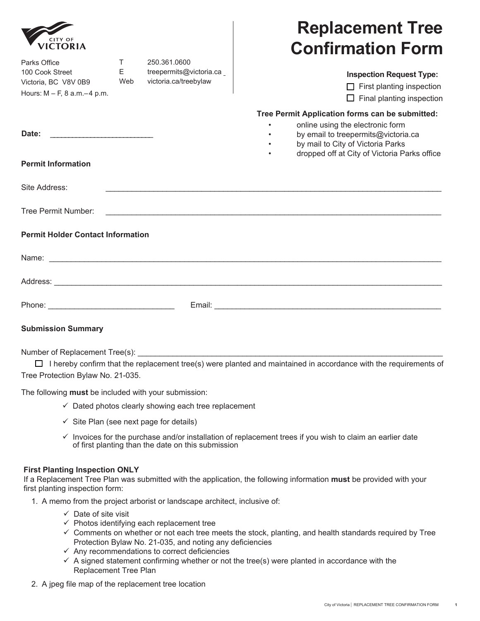|                                                                                              |                           |                                                                   | <b>Replacement Tree</b>                                                                                                                                                                                         |
|----------------------------------------------------------------------------------------------|---------------------------|-------------------------------------------------------------------|-----------------------------------------------------------------------------------------------------------------------------------------------------------------------------------------------------------------|
| <b>CITY OF</b><br><b>VICTORIA</b>                                                            |                           |                                                                   | <b>Confirmation Form</b>                                                                                                                                                                                        |
| Parks Office<br>100 Cook Street<br>Victoria, BC V8V 0B9<br>Hours: $M - F$ , 8 a.m. $-4$ p.m. | $\mathsf{T}$<br>E.<br>Web | 250.361.0600<br>treepermits@victoria.ca_<br>victoria.ca/treebylaw | <b>Inspection Request Type:</b><br>$\Box$ First planting inspection<br>$\Box$ Final planting inspection                                                                                                         |
| Date:                                                                                        |                           |                                                                   | Tree Permit Application forms can be submitted:<br>online using the electronic form<br>by email to treepermits@victoria.ca<br>by mail to City of Victoria Parks<br>dropped off at City of Victoria Parks office |
| <b>Permit Information</b>                                                                    |                           |                                                                   |                                                                                                                                                                                                                 |
| Site Address:                                                                                |                           |                                                                   |                                                                                                                                                                                                                 |
| Tree Permit Number:                                                                          |                           |                                                                   |                                                                                                                                                                                                                 |
| <b>Permit Holder Contact Information</b>                                                     |                           |                                                                   |                                                                                                                                                                                                                 |
|                                                                                              |                           |                                                                   |                                                                                                                                                                                                                 |
|                                                                                              |                           |                                                                   |                                                                                                                                                                                                                 |
|                                                                                              |                           |                                                                   |                                                                                                                                                                                                                 |
| <b>Submission Summary</b>                                                                    |                           |                                                                   |                                                                                                                                                                                                                 |

 $\overline{1}$ 

Number of Replacement Tree(s):

I hereby confirm that the replacement tree(s) were planted and maintained in accordance with the requirements of Tree Protection Bylaw No. 21-035.

The following **must** be included with your submission:

- $\checkmark$  Dated photos clearly showing each tree replacement
- $\checkmark$  Site Plan (see next page for details)
- $\checkmark$  Invoices for the purchase and/or installation of replacement trees if you wish to claim an earlier date of first planting than the date on this submission

## **First Planting Inspection ONLY**

If a Replacement Tree Plan was submitted with the application, the following information **must** be provided with your first planting inspection form:

- 1. A memo from the project arborist or landscape architect, inclusive of:
	- $\checkmark$  Date of site visit
	- $\checkmark$  Photos identifying each replacement tree
	- $\checkmark$  Comments on whether or not each tree meets the stock, planting, and health standards required by Tree Protection Bylaw No. 21-035, and noting any deficiencies
	- $\checkmark$  Any recommendations to correct deficiencies
	- $\checkmark$  A signed statement confirming whether or not the tree(s) were planted in accordance with the Replacement Tree Plan
- 2. A jpeg file map of the replacement tree location